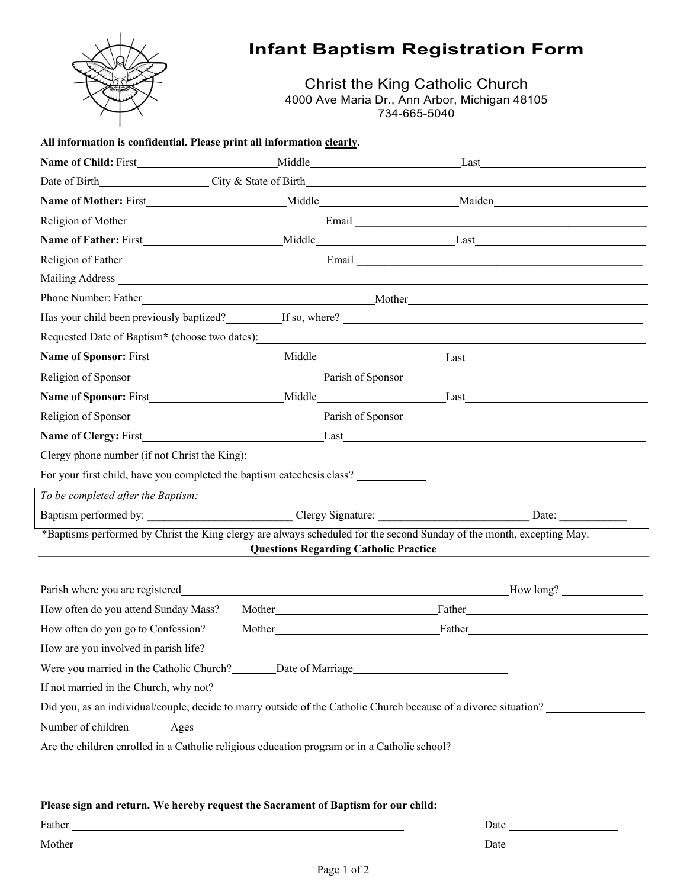

## **Infant Baptism Registration Form**

Christ the King Catholic Church 4000 Ave Maria Dr., Ann Arbor, Michigan 48105 734-665-5040

| All information is confidential. Please print all information clearly.                                                |                                              |                                                                                                                                                                                                                                     |
|-----------------------------------------------------------------------------------------------------------------------|----------------------------------------------|-------------------------------------------------------------------------------------------------------------------------------------------------------------------------------------------------------------------------------------|
|                                                                                                                       |                                              | Last the contract of the contract of the contract of the contract of the contract of the contract of the contract of the contract of the contract of the contract of the contract of the contract of the contract of the contr      |
| Date of Birth City & State of Birth                                                                                   |                                              |                                                                                                                                                                                                                                     |
|                                                                                                                       |                                              |                                                                                                                                                                                                                                     |
|                                                                                                                       |                                              |                                                                                                                                                                                                                                     |
|                                                                                                                       |                                              |                                                                                                                                                                                                                                     |
|                                                                                                                       |                                              |                                                                                                                                                                                                                                     |
|                                                                                                                       |                                              |                                                                                                                                                                                                                                     |
|                                                                                                                       |                                              | Phone Number: Father Mother Music Communication of Mother Mother Mother Music Communication of Mother Music Communication of Mother Music Communication of Mother Music Communication of Mother Music Communication of Music C      |
|                                                                                                                       |                                              | Has your child been previously baptized? If so, where? If so where and the set of the set of the set of the set of the set of the set of the set of the set of the set of the set of the set of the set of the set of the set       |
| Requested Date of Baptism* (choose two dates):                                                                        |                                              |                                                                                                                                                                                                                                     |
|                                                                                                                       |                                              |                                                                                                                                                                                                                                     |
|                                                                                                                       |                                              |                                                                                                                                                                                                                                     |
|                                                                                                                       |                                              | <b>Name of Sponsor:</b> First Middle Middle Last                                                                                                                                                                                    |
|                                                                                                                       |                                              |                                                                                                                                                                                                                                     |
|                                                                                                                       |                                              |                                                                                                                                                                                                                                     |
| Clergy phone number (if not Christ the King):                                                                         |                                              |                                                                                                                                                                                                                                     |
| For your first child, have you completed the baptism catechesis class?                                                |                                              |                                                                                                                                                                                                                                     |
| To be completed after the Baptism:                                                                                    |                                              |                                                                                                                                                                                                                                     |
|                                                                                                                       |                                              |                                                                                                                                                                                                                                     |
| *Baptisms performed by Christ the King clergy are always scheduled for the second Sunday of the month, excepting May. | <b>Questions Regarding Catholic Practice</b> |                                                                                                                                                                                                                                     |
| Parish where you are registered                                                                                       |                                              | How long?                                                                                                                                                                                                                           |
| How often do you attend Sunday Mass?                                                                                  |                                              |                                                                                                                                                                                                                                     |
| How often do you go to Confession?                                                                                    |                                              | Father <b>Executive Section</b> 2014 12:30 Father 12:30 Father 12:30 Father 12:30 Father 12:30 Father 12:30 Father 12:30 Father 12:30 Father 12:30 Father 12:30 Father 12:30 Father 12:30 Father 12:30 Father 12:30 Father 12:30 Fa |
|                                                                                                                       |                                              |                                                                                                                                                                                                                                     |
| Were you married in the Catholic Church? _______ Date of Marriage___________________________________                  |                                              |                                                                                                                                                                                                                                     |
|                                                                                                                       |                                              | If not married in the Church, why not?                                                                                                                                                                                              |
|                                                                                                                       |                                              | Did you, as an individual/couple, decide to marry outside of the Catholic Church because of a divorce situation?                                                                                                                    |
|                                                                                                                       |                                              |                                                                                                                                                                                                                                     |
|                                                                                                                       |                                              | Are the children enrolled in a Catholic religious education program or in a Catholic school?                                                                                                                                        |

## **Please sign and return. We hereby request the Sacrament of Baptism for our child:**

| Father               | Date |
|----------------------|------|
| $M_{\rm c}$<br>other | Date |